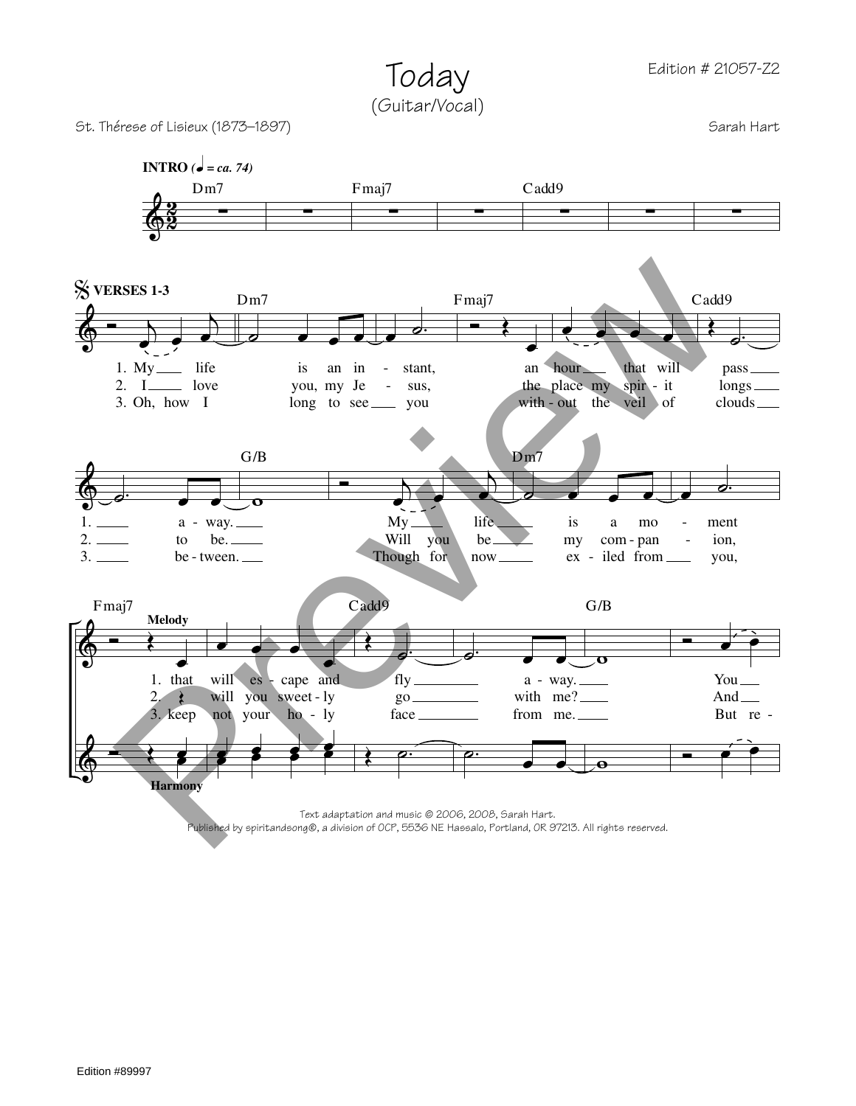Today (Guitar/Vocal)

St. Thérese of Lisieux (1873–1897) Sarah Hart